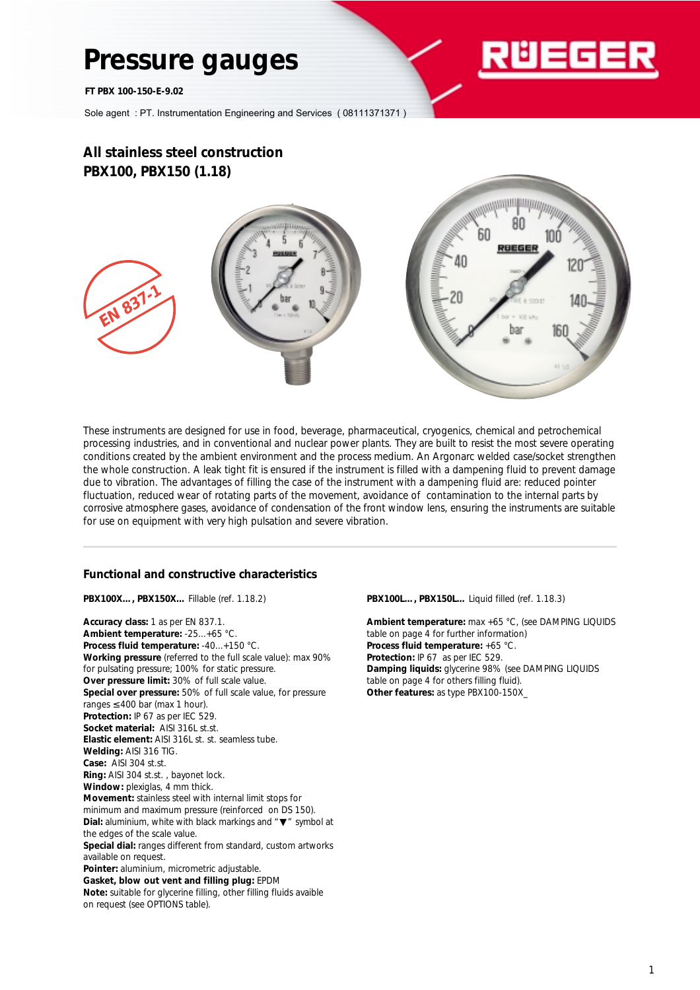# **Pressure gauges**

*FT PBX 100-150-E-9.02*



Sole agent : PT. Instrumentation Engineering and Services ( 08111371371 )

# **All stainless steel construction PBX100, PBX150 (1.18)**



These instruments are designed for use in food, beverage, pharmaceutical, cryogenics, chemical and petrochemical processing industries, and in conventional and nuclear power plants. They are built to resist the most severe operating conditions created by the ambient environment and the process medium. An Argonarc welded case/socket strengthen the whole construction. A leak tight fit is ensured if the instrument is filled with a dampening fluid to prevent damage due to vibration. The advantages of filling the case of the instrument with a dampening fluid are: reduced pointer fluctuation, reduced wear of rotating parts of the movement, avoidance of contamination to the internal parts by corrosive atmosphere gases, avoidance of condensation of the front window lens, ensuring the instruments are suitable for use on equipment with very high pulsation and severe vibration.

### **Functional and constructive characteristics**

**PBX100X…, PBX150X…** Fillable (ref. 1.18.2)

**Accuracy class:** 1 as per EN 837.1. **Ambient temperature:** -25...+65 °C. **Process fluid temperature:** -40...+150 °C. **Working pressure** (referred to the full scale value): max 90% for pulsating pressure; 100% for static pressure. **Over pressure limit:** 30% of full scale value. **Special over pressure:** 50% of full scale value, for pressure ranges  $\leq 400$  bar (max 1 hour). **Protection:** IP 67 as per IEC 529. **Socket material:** AISI 316L st.st. **Elastic element:** AISI 316L st. st. seamless tube. **Welding:** AISI 316 TIG. **Case:** AISI 304 st.st. **Ring:** AISI 304 st.st. , bayonet lock. **Window:** plexiglas, 4 mm thick. **Movement:** stainless steel with internal limit stops for minimum and maximum pressure (reinforced on DS 150). **Dial:** aluminium, white with black markings and "▼" symbol at the edges of the scale value. **Special dial:** ranges different from standard, custom artworks available on request. **Pointer:** aluminium, micrometric adjustable. **Gasket, blow out vent and filling plug:** EPDM **Note:** suitable for glycerine filling, other filling fluids avaible on request (see OPTIONS table).

**PBX100L…, PBX150L…** Liquid filled (ref. 1.18.3)

**Ambient temperature:** max +65 °C, (see DAMPING LIQUIDS table on page 4 for further information) **Process fluid temperature:** +65 °C. **Protection:** IP 67 as per IEC 529. **Damping liquids:** glycerine 98% (see DAMPING LIQUIDS table on page 4 for others filling fluid). **Other features:** as type PBX100-150X\_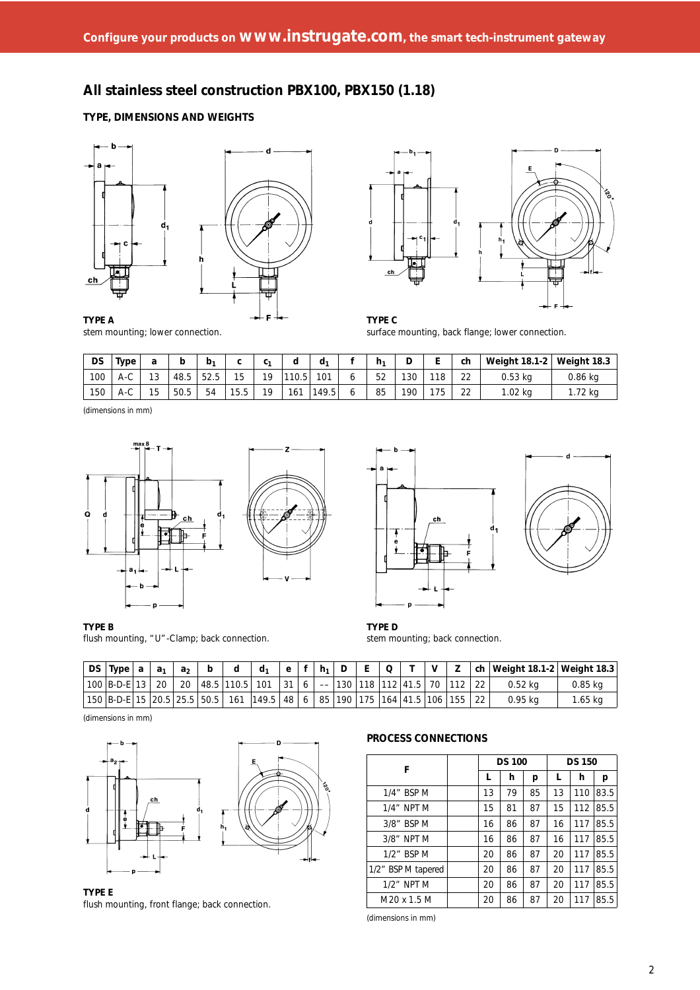# **All stainless steel construction PBX100, PBX150 (1.18)**

### **TYPE, DIMENSIONS AND WEIGHTS**





stem mounting; lower connection. surface mounting, back flange; lower connection.

| DS  | Type | ີ                                  | b    | b,    | $\sim$<br>v | ົ<br>v | d   | d,    | h <sub>1</sub> | υ   | -       | ch           | Weight 18.1-2 | Weight 18.3 |
|-----|------|------------------------------------|------|-------|-------------|--------|-----|-------|----------------|-----|---------|--------------|---------------|-------------|
| 100 | A-C  | 13                                 | 48.5 | ن ے ب | 15          | 10     | 0.5 | 101   | らつ<br>JZ.      | 130 | 18      | $\cap$<br>22 | $0.53$ kg     | ).86 kg     |
| 150 | A-C  | $\overline{a}$ $\overline{b}$<br>b | 50.5 | 54    | 15.5        | 10     | 161 | 149.5 | 85             | 190 | 75<br>J | $\sim$<br>22 | $.02$ kg      | .72 KO      |

(dimensions in mm)



flush mounting, "U"-Clamp; back connection. stem mounting; back connection.



**TYPE B TYPE D**

| DS Type                | a | a <sub>1</sub> | a <sub>2</sub> |                | d.                                                                                                       | e. |   | $h_1$                                          |  |                                   | v |  | ch   Weight 18.1-2   Weight 18.3 |          |
|------------------------|---|----------------|----------------|----------------|----------------------------------------------------------------------------------------------------------|----|---|------------------------------------------------|--|-----------------------------------|---|--|----------------------------------|----------|
| ' 100   B-D-E   13   . |   | 20             | 20             | 48.5 110.5 101 |                                                                                                          | 31 | 6 | $\hspace{0.1mm}-\hspace{0.1mm}-\hspace{0.1mm}$ |  | --  130  118  112  41.5   70  112 |   |  | 0.52 ka                          | 0.85 ka  |
|                        |   |                |                |                | 150   B-D-E   15   20.5   25.5   50.5     161   149.5   48   6   85   190   175   164   41.5   106   155 |    |   |                                                |  |                                   |   |  | $0.95$ ka                        | I .65 ka |

(dimensions in mm)



**TYPE E** flush mounting, front flange; back connection.

### **PROCESS CONNECTIONS**

| F                  |  | <b>DS 150</b> |    |    |    |     |      |
|--------------------|--|---------------|----|----|----|-----|------|
|                    |  | L             | h  | р  | L  | h   | р    |
| 1/4" BSP M         |  | 13            | 79 | 85 | 13 | 110 | 83.5 |
| $1/4$ " NPT M      |  | 15            | 81 | 87 | 15 | 112 | 85.5 |
| $3/8"$ BSP M       |  | 16            | 86 | 87 | 16 | 117 | 85.5 |
| $3/8"$ NPT M       |  | 16            | 86 | 87 | 16 | 117 | 85.5 |
| 1/2" BSP M         |  | 20            | 86 | 87 | 20 | 117 | 85.5 |
| 1/2" BSP M tapered |  | 20            | 86 | 87 | 20 | 117 | 85.5 |
| $1/2$ " NPT M      |  | 20            | 86 | 87 | 20 | 117 | 85.5 |
| M20 x 1.5 M        |  | 20            | 86 | 87 | 20 | 117 | 85.5 |

(dimensions in mm)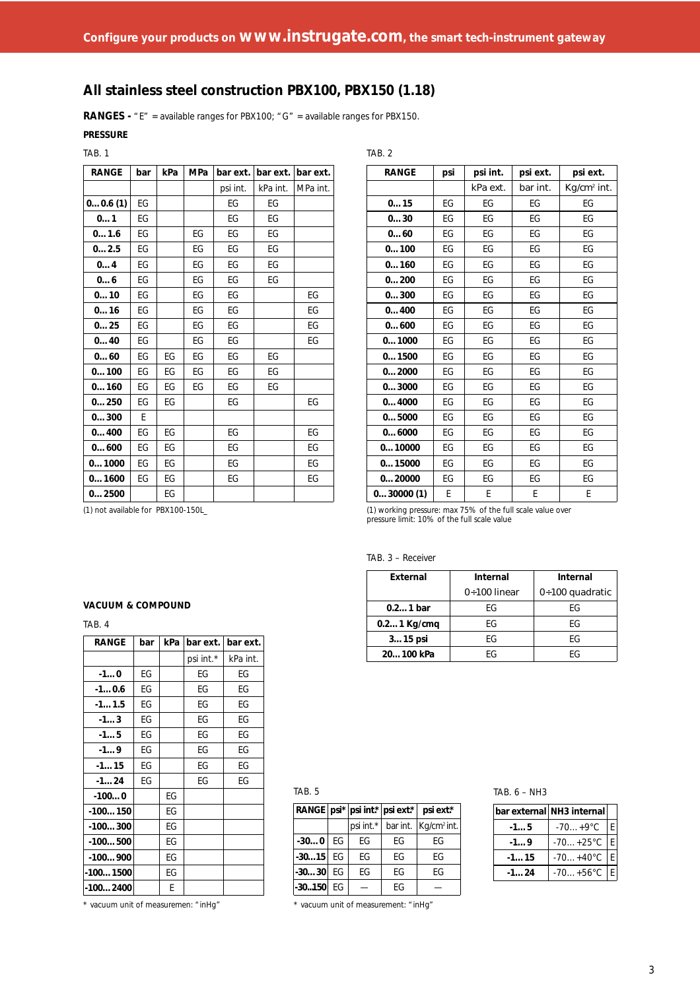TAB. 2

# **All stainless steel construction PBX100, PBX150 (1.18)**

**RANGES -** "E" = available ranges for PBX100; "G" = available ranges for PBX150.

**PRESSURE**

| ۰. |  |
|----|--|
|----|--|

| <b>RANGE</b> | bar | kPa | <b>MPa</b> | bar ext. | bar ext. | bar ext. |
|--------------|-----|-----|------------|----------|----------|----------|
|              |     |     |            | psi int. | kPa int. | MPa int. |
| 00.6(1)      | EG  |     |            | EG       | EG       |          |
| 01           | EG  |     |            | EG       | EG       |          |
| 01.6         | EG  |     | EG         | EG       | EG       |          |
| 02.5         | EG  |     | EG         | EG       | EG       |          |
| 04           | EG  |     | EG         | EG       | EG       |          |
| 06           | EG  |     | EG         | EG       | EG       |          |
| 010          | EG  |     | EG         | EG       |          | EG       |
| 016          | EG  |     | EG         | EG       |          | EG       |
| 025          | EG  |     | EG         | EG       |          | EG       |
| 040          | EG  |     | EG         | EG       |          | EG       |
| 060          | EG  | EG  | EG         | EG       | EG       |          |
| 0100         | EG  | EG  | FG         | FG       | EG       |          |
| 0160         | EG  | EG  | EG         | EG       | EG       |          |
| 0250         | FG  | EG  |            | EG       |          | EG       |
| 0300         | F   |     |            |          |          |          |
| 0400         | EG  | EG  |            | EG       |          | EG       |
| 0600         | EG  | EG  |            | EG       |          | EG       |
| 01000        | EG  | EG  |            | EG       |          | EG       |
| 01600        | EG  | EG  |            | EG       |          | EG       |
| 02500        |     | EG  |            |          |          |          |

| <b>RANGE</b> | psi | psi int. | psi ext. | psi ext.                |
|--------------|-----|----------|----------|-------------------------|
|              |     | kPa ext. | bar int. | Kg/cm <sup>2</sup> int. |
| 015          | FG  | EG       | EG       | EG                      |
| 030          | FG. | FG       | FG       | EG                      |
| 060          | FG  | EG       | FG       | EG                      |
| 0100         | EG  | EG       | EG       | EG                      |
| 0160         | EG  | EG       | EG       | EG                      |
| 0200         | FG  | EG       | EG       | EG                      |
| 0300         | EG  | EG       | EG       | EG                      |
| 0400         | EG  | EG       | EG       | EG                      |
| 0600         | EG  | EG       | EG       | EG                      |
| 01000        | EG  | EG       | EG       | EG                      |
| 01500        | EG  | EG       | EG       | EG                      |
| 02000        | EG  | EG       | EG       | EG                      |
| 03000        | EG  | EG       | EG       | EG                      |
| 04000        | FG  | FG       | FG       | FG                      |
| 05000        | EG  | EG       | EG       | EG                      |
| 06000        | EG  | EG       | EG       | EG                      |
| 010000       | FG  | FG       | FG       | FG                      |
| 015000       | EG  | EG       | EG       | EG                      |
| 020000       | EG  | EG       | EG       | EG                      |
| 030000(1)    | E   | E        | E        | F                       |

(1) not available for PBX100-150L\_ (1) working pressure: max 75% of the full scale value over pressure limit: 10% of the full scale value

| TAB. $3 -$ |  |  | Receiver |  |
|------------|--|--|----------|--|
|------------|--|--|----------|--|

| External      | Internal            | Internal          |  |  |
|---------------|---------------------|-------------------|--|--|
|               | $0 \div 100$ linear | $0+100$ quadratic |  |  |
| $0.21$ bar    | FG                  | FG                |  |  |
| $0.21$ Kg/cmg | FG                  | FG                |  |  |
| $315$ psi     | FG                  | FG                |  |  |
| 20100 kPa     | FG                  | FG                |  |  |

#### **VACUUM & COMPOUND**

TAB. 4

| <b>RANGE</b> | bar | kPa | bar ext.  | bar ext. |
|--------------|-----|-----|-----------|----------|
|              |     |     | psi int.* | kPa int. |
| $-10$        | EG  |     | EG        | EG       |
| $-10.6$      | EG  |     | EG        | EG       |
| $-11.5$      | EG  |     | EG        | EG       |
| $-13$        | EG  |     | EG        | EG       |
| $-15$        | EG  |     | ЕG        | EG       |
| $-19$        | EG  |     | EG        | EG       |
| $-115$       | EG  |     | EG        | EG       |
| $-124$       | EG  |     | EG        | EG       |
| $-1000$      |     | EG  |           |          |
| $-100150$    |     | EG  |           |          |
| $-100300$    |     | EG  |           |          |
| $-100500$    |     | EG  |           |          |
| $-100900$    |     | EG  |           |          |
| $-1001500$   |     | EG  |           |          |
| -100…2400    |     | E   |           |          |

\* vacuum unit of measuremen: "inHg"

#### TAB. 5

|             |           | RANGE $ psi^* $ psi int.*   psi ext.* | psi ext.*                          |
|-------------|-----------|---------------------------------------|------------------------------------|
|             | psi int.* |                                       | bar int.   Kg/cm <sup>2</sup> int. |
| $-300$ EG   | FG        | FG                                    | FG                                 |
| $-3015$ EG  | FG        | FG                                    | FG                                 |
| $-3030$ EG  | FG        | FG                                    | FG                                 |
| $-30150$ EG |           | FG                                    |                                    |

\* vacuum unit of measurement: "inHg"

#### TAB. 6 – NH3

|        | bar external NH3 internal |  |
|--------|---------------------------|--|
| $-15$  | $-70+9$ °C                |  |
| $-19$  | $-70+25$ °C               |  |
| $-115$ | $-70+40^{\circ}C$         |  |
| $-124$ | $-70+56^{\circ}C$         |  |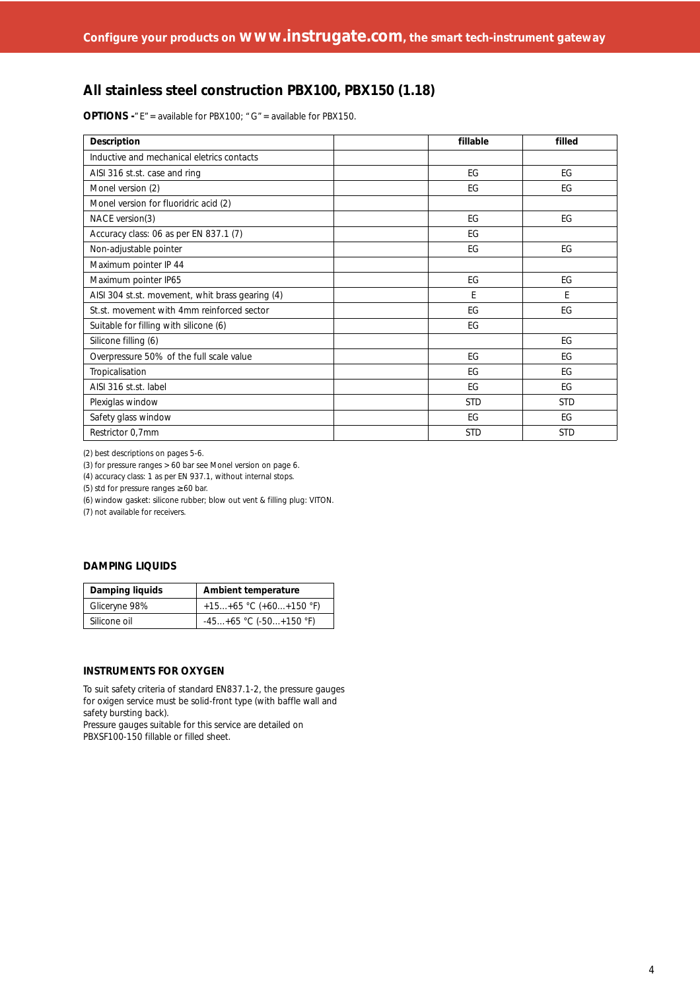# **All stainless steel construction PBX100, PBX150 (1.18)**

**OPTIONS -**"E"= available for PBX100; "G"= available for PBX150.

| Description                                      | fillable   | filled     |
|--------------------------------------------------|------------|------------|
| Inductive and mechanical eletrics contacts       |            |            |
| AISI 316 st.st. case and ring                    | EG         | EG         |
| Monel version (2)                                | EG         | EG         |
| Monel version for fluoridric acid (2)            |            |            |
| NACE version(3)                                  | EG         | EG         |
| Accuracy class: 06 as per EN 837.1 (7)           | EG         |            |
| Non-adjustable pointer                           | EG         | EG         |
| Maximum pointer IP 44                            |            |            |
| Maximum pointer IP65                             | EG         | EG         |
| AISI 304 st.st. movement, whit brass gearing (4) | E          | E          |
| St.st. movement with 4mm reinforced sector       | EG         | EG         |
| Suitable for filling with silicone (6)           | EG         |            |
| Silicone filling (6)                             |            | EG         |
| Overpressure 50% of the full scale value         | EG         | EG         |
| Tropicalisation                                  | EG         | EG         |
| AISI 316 st.st. label                            | EG         | EG         |
| Plexiglas window                                 | <b>STD</b> | <b>STD</b> |
| Safety glass window                              | EG         | EG         |
| Restrictor 0,7mm                                 | <b>STD</b> | <b>STD</b> |

(2) best descriptions on pages 5-6.

(3) for pressure ranges > 60 bar see Monel version on page 6.

(4) accuracy class: 1 as per EN 937.1, without internal stops.

(5) std for pressure ranges ≥ 60 bar.

(6) window gasket: silicone rubber; blow out vent & filling plug: VITON.

(7) not available for receivers.

#### **DAMPING LIQUIDS**

| Damping liquids | <b>Ambient temperature</b>  |  |  |  |
|-----------------|-----------------------------|--|--|--|
| Gliceryne 98%   | $+15+65$ °C (+60+150 °F)    |  |  |  |
| Silicone oil    | $-45+65$ °C ( $-50+150$ °F) |  |  |  |

#### **INSTRUMENTS FOR OXYGEN**

To suit safety criteria of standard EN837.1-2, the pressure gauges for oxigen service must be solid-front type (with baffle wall and safety bursting back).

Pressure gauges suitable for this service are detailed on PBXSF100-150 fillable or filled sheet.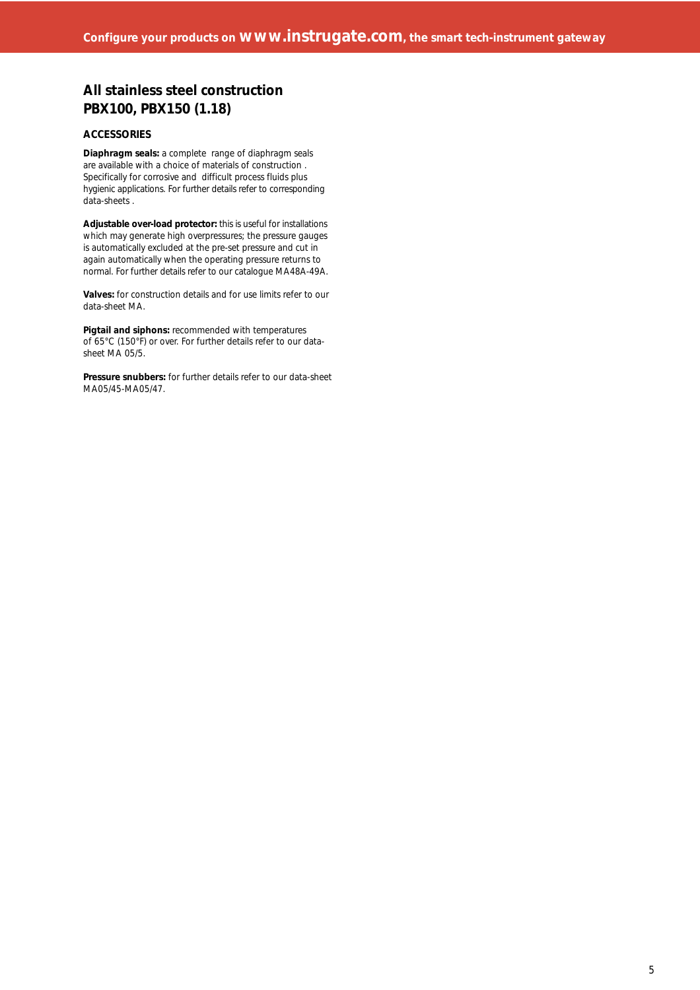## **All stainless steel construction PBX100, PBX150 (1.18)**

#### **ACCESSORIES**

**Diaphragm seals:** a complete range of diaphragm seals are available with a choice of materials of construction . Specifically for corrosive and difficult process fluids plus hygienic applications. For further details refer to corresponding data-sheets .

**Adjustable over-load protector:** this is useful for installations which may generate high overpressures; the pressure gauges is automatically excluded at the pre-set pressure and cut in again automatically when the operating pressure returns to normal. For further details refer to our catalogue MA48A-49A.

**Valves:** for construction details and for use limits refer to our data-sheet MA.

**Pigtail and siphons:** recommended with temperatures of 65°C (150°F) or over. For further details refer to our datasheet MA 05/5.

**Pressure snubbers:** for further details refer to our data-sheet MA05/45-MA05/47.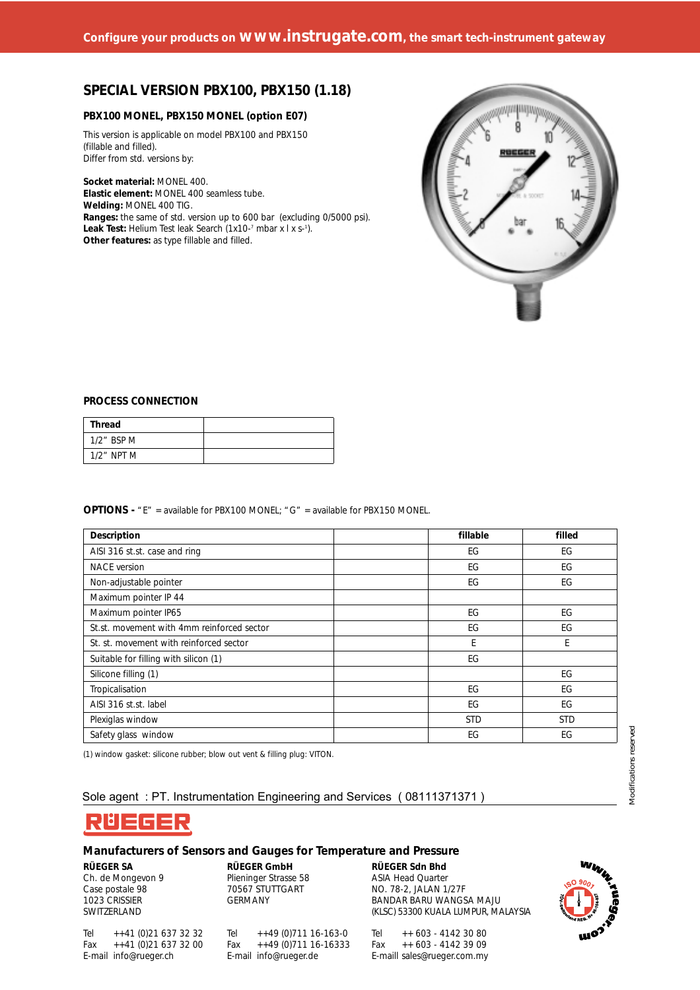### **SPECIAL VERSION PBX100, PBX150 (1.18)**

#### **PBX100 MONEL, PBX150 MONEL (option E07)**

This version is applicable on model PBX100 and PBX150 (fillable and filled). Differ from std. versions by:

**Socket material:** MONEL 400. **Elastic element:** MONEL 400 seamless tube. **Welding:** MONEL 400 TIG. **Ranges:** the same of std. version up to 600 bar (excluding 0/5000 psi). **Leak Test:** Helium Test leak Search (1x10-<sup>7</sup> mbar x l x s-1). **Other features:** as type fillable and filled.



#### **PROCESS CONNECTION**

| Thread        |  |
|---------------|--|
| $1/2$ " BSP M |  |
| $1/2$ " NPT M |  |

**OPTIONS -** "E" = available for PBX100 MONEL; "G" = available for PBX150 MONEL.

| Description                                | fillable   | filled     |  |
|--------------------------------------------|------------|------------|--|
| AISI 316 st.st. case and ring              | EG         | EG         |  |
| <b>NACE</b> version                        | EG         | EG         |  |
| Non-adjustable pointer                     | EG         | EG         |  |
| Maximum pointer IP 44                      |            |            |  |
| Maximum pointer IP65                       | EG         | EG         |  |
| St.st. movement with 4mm reinforced sector | EG         | EG         |  |
| St. st. movement with reinforced sector    | E          | E          |  |
| Suitable for filling with silicon (1)      | EG         |            |  |
| Silicone filling (1)                       |            | EG         |  |
| Tropicalisation                            | EG         | EG         |  |
| AISI 316 st.st. label                      | EG         | EG         |  |
| Plexiglas window                           | <b>STD</b> | <b>STD</b> |  |
| Safety glass window                        | EG         | EG         |  |

(1) window gasket: silicone rubber; blow out vent & filling plug: VITON.

#### Sole agent : PT. Instrumentation Engineering and Services ( 08111371371 )



#### **Manufacturers of Sensors and Gauges for Temperature and Pressure**

**RÜEGER SA** Ch. de Mongevon 9 Case postale 98 1023 CRISSIER SWITZERLAND

**RÜEGER GmbH** Plieninger Strasse 58 70567 STUTTGART GERMANY

Tel ++49 (0)711 16-163-0

Tel ++41 (0)21 637 32 32 Fax ++41 (0)21 637 32 00 E-mail info@rueger.ch

Fax ++49 (0)711 16-16333 E-mail info@rueger.de

**RÜEGER Sdn Bhd** ASIA Head Quarter NO. 78-2, JALAN 1/27F BANDAR BARU WANGSA MAJU (KLSC) 53300 KUALA LUMPUR, MALAYSIA

Tel ++ 603 - 4142 30 80 Fax ++ 603 - 4142 39 09 E-maill sales@rueger.com.my